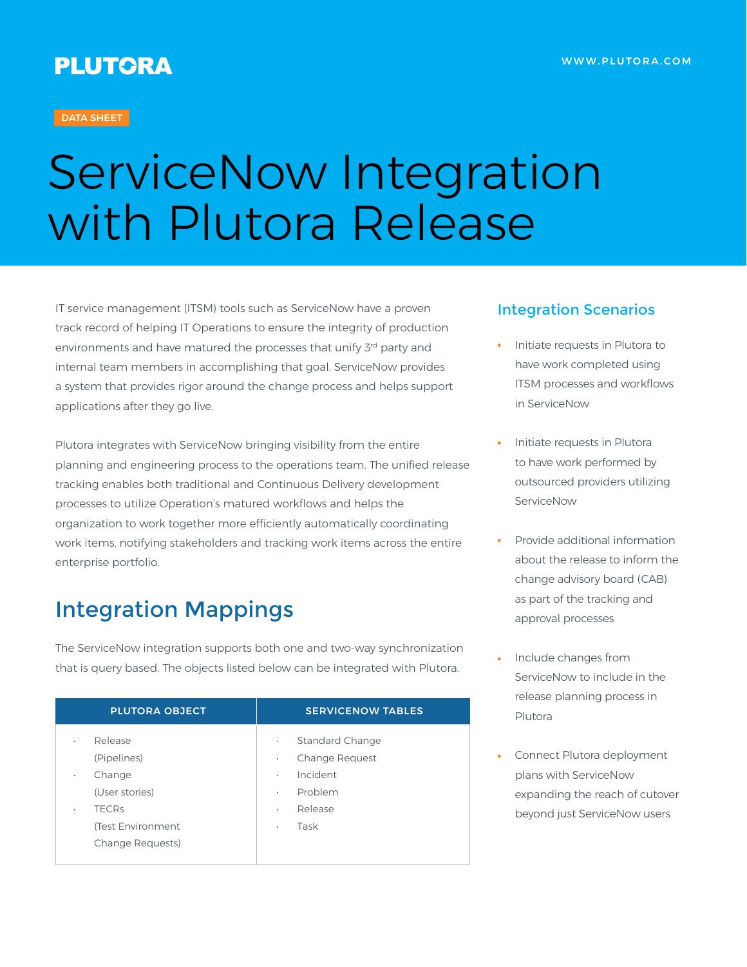#### **DATA SHEET**

# ServiceNow Integration with Plutora Release

IT service management (ITSM) tools such as ServiceNow have a proven track record of helping IT Operations to ensure the integrity of production environments and have matured the processes that unify 3<sup>rd</sup> party and internal team members in accomplishing that goal. ServiceNow provides a system that provides rigor around the change process and helps support applications after they go live.

Plutora integrates with ServiceNow bringing visibility from the entire planning and engineering process to the operations team. The unified release tracking enables both traditional and Continuous Delivery development processes to utilize Operation's matured workflows and helps the organization to work together more efficiently automatically coordinating work items, notifying stakeholders and tracking work items across the entire enterprise portfolio.

## Integration Mappings

The ServiceNow integration supports both one and two-way synchronization that is query based. The objects listed below can be integrated with Plutora.

| <b>PLUTORA OBJECT</b>                                                                                                         | <b>SERVICENOW TABLES</b>                                                                                                                 |
|-------------------------------------------------------------------------------------------------------------------------------|------------------------------------------------------------------------------------------------------------------------------------------|
| Release<br>۰<br>(Pipelines)<br>Change<br>$\bullet$<br>(User stories)<br><b>TECRS</b><br>(Test Environment<br>Change Requests) | <b>Standard Change</b><br>$\bullet$<br>Change Request<br>$\bullet$<br>Incident<br>$\bullet$<br>Problem<br>٠<br>Release<br>٠<br>Task<br>۰ |

#### Integration Scenarios

- Initiate requests in Plutora to have work completed using ITSM processes and workflows in ServiceNow
- Initiate requests in Plutora to have work performed by outsourced providers utilizing ServiceNow
- Provide additional information about the release to inform the change advisory board (CAB) as part of the tracking and approval processes
- Include changes from ServiceNow to include in the release planning process in Plutora
- Connect Plutora deployment plans with ServiceNow expanding the reach of cutover beyond just ServiceNow users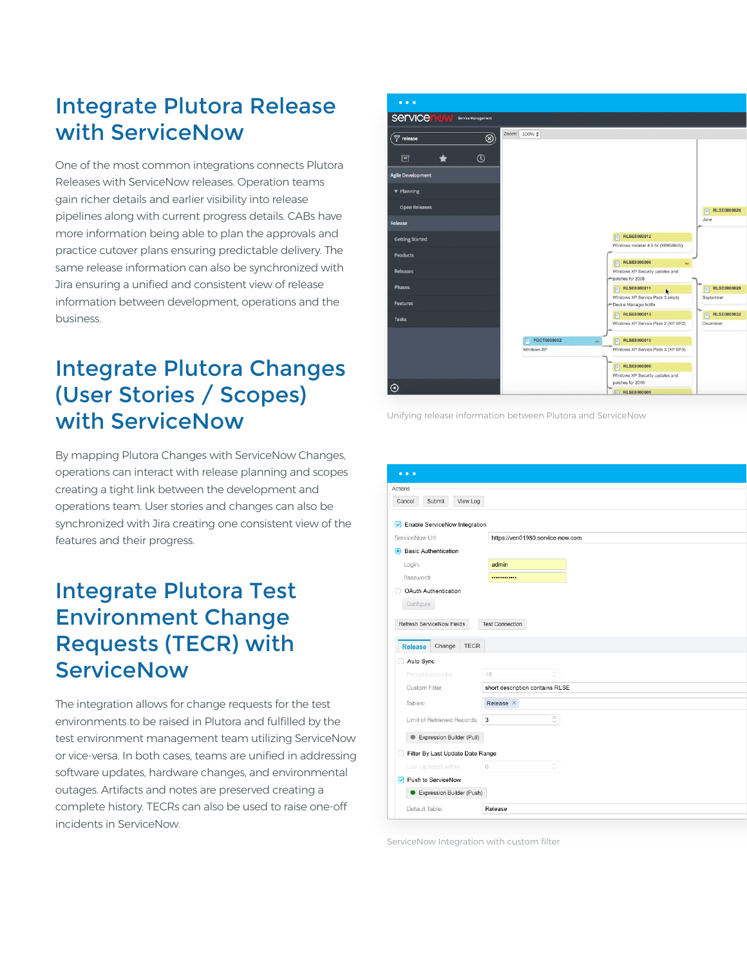#### Integrate Plutora Release with ServiceNow

One of the most common integrations connects Plutora Releases with ServiceNow releases. Operation teams gain richer details and earlier visibility into release pipelines along with current progress details. CABs have more information being able to plan the approvals and practice cutover plans ensuring predictable delivery. The same release information can also be synchronized with Jira ensuring a unified and consistent view of release information between development, operations and the business.

## Integrate Plutora Changes (User Stories / Scopes) with ServiceNow

By mapping Plutora Changes with ServiceNow Changes, operations can interact with release planning and scopes creating a tight link between the development and operations team. User stories and changes can also be synchronized with Jira creating one consistent view of the features and their progress.

#### Integrate Plutora Test Environment Change Requests (TECR) with **ServiceNow**

The integration allows for change requests for the test environments to be raised in Plutora and fulfilled by the test environment management team utilizing ServiceNow or vice-versa. In both cases, teams are unified in addressing software updates, hardware changes, and environmental outages. Artifacts and notes are preserved creating a complete history. TECRs can also be used to raise one-off incidents in ServiceNow.



Unifying release information between Plutora and ServiceNow

|         | $\bullet\bullet\bullet$          |             |                                  |
|---------|----------------------------------|-------------|----------------------------------|
| Actions |                                  |             |                                  |
| Cancel  | Submit                           | View Log    |                                  |
|         |                                  |             |                                  |
| 罓       | Enable ServiceNow Integration    |             |                                  |
|         | ServiceNow Url:                  |             | https://ven01980.service-now.com |
| ◉       | <b>Basic Authentication</b>      |             |                                  |
|         | Login:                           |             | admin                            |
|         | Password:                        |             |                                  |
|         | OAuth Authentication             |             |                                  |
|         | Configure                        |             |                                  |
|         |                                  |             |                                  |
|         | Refresh ServiceNow Fields        |             | <b>Test Connection</b>           |
|         | Change<br><b>Release</b>         | <b>TECR</b> |                                  |
|         | Auto Sync                        |             |                                  |
|         | Period (seconds):                |             | Λ<br>15                          |
|         | Custom Filter:                   |             | $\checkmark$                     |
|         |                                  |             | short description contains RLSE  |
|         | Tables:                          |             | Release $\times$                 |
|         | Limit of Retrieved Records:      |             | $\hat{\mathcal{C}}$<br>3         |
|         | Expression Builder (Pull)        |             |                                  |
|         |                                  |             |                                  |
|         | Filter By Last Update Date Range |             |                                  |
|         | Last Updated within:             |             | ੇ<br>$\circ$                     |
|         |                                  |             |                                  |
| 罓       | Push to ServiceNow               |             |                                  |
|         | Expression Builder (Push)        |             |                                  |

ServiceNow Integration with custom filter